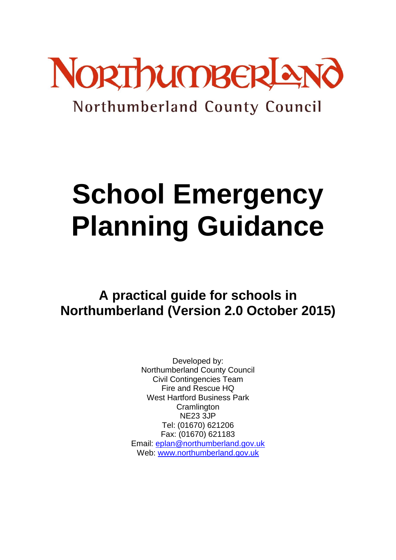

# Northumberland County Council

# **School Emergency Planning Guidance**

# **A practical guide for schools in Northumberland (Version 2.0 October 2015)**

Developed by: Northumberland County Council Civil Contingencies Team Fire and Rescue HQ West Hartford Business Park **Cramlington** NE23 3JP Tel: (01670) 621206 Fax: (01670) 621183 Email: [eplan@northumberland.gov.uk](mailto:eplan@northumberland.gov.uk) Web: [www.northumberland.gov.uk](http://www.northumberland.gov.uk/)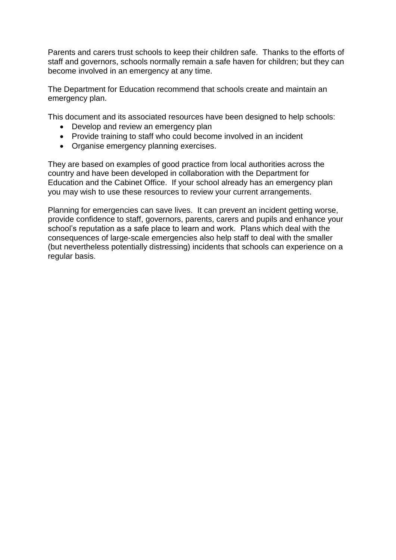Parents and carers trust schools to keep their children safe. Thanks to the efforts of staff and governors, schools normally remain a safe haven for children; but they can become involved in an emergency at any time.

The Department for Education recommend that schools create and maintain an emergency plan.

This document and its associated resources have been designed to help schools:

- Develop and review an emergency plan
- Provide training to staff who could become involved in an incident
- Organise emergency planning exercises.

They are based on examples of good practice from local authorities across the country and have been developed in collaboration with the Department for Education and the Cabinet Office. If your school already has an emergency plan you may wish to use these resources to review your current arrangements.

Planning for emergencies can save lives. It can prevent an incident getting worse, provide confidence to staff, governors, parents, carers and pupils and enhance your school's reputation as a safe place to learn and work. Plans which deal with the consequences of large-scale emergencies also help staff to deal with the smaller (but nevertheless potentially distressing) incidents that schools can experience on a regular basis.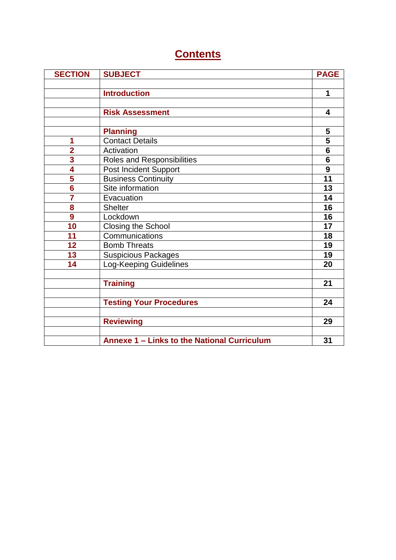### **Contents**

| <b>SECTION</b>          | <b>SUBJECT</b>                              | <b>PAGE</b>             |
|-------------------------|---------------------------------------------|-------------------------|
|                         |                                             |                         |
|                         | <b>Introduction</b>                         | 1                       |
|                         |                                             |                         |
|                         | <b>Risk Assessment</b>                      | $\overline{\mathbf{4}}$ |
|                         |                                             |                         |
|                         | <b>Planning</b>                             | 5                       |
| 1                       | <b>Contact Details</b>                      | $\overline{\mathbf{5}}$ |
| $\overline{\mathbf{2}}$ | Activation                                  | $6\phantom{1}6$         |
| 3                       | Roles and Responsibilities                  | $6\phantom{1}6$         |
| 4                       | Post Incident Support                       | 9                       |
| 5                       | <b>Business Continuity</b>                  | 11                      |
| $\overline{\mathbf{6}}$ | Site information                            | 13                      |
| $\overline{\mathbf{7}}$ | Evacuation                                  | 14                      |
| 8                       | <b>Shelter</b>                              | 16                      |
| 9                       | Lockdown                                    | 16                      |
| 10                      | <b>Closing the School</b>                   | 17                      |
| 11                      | Communications                              | 18                      |
| 12                      | <b>Bomb Threats</b>                         | 19                      |
| 13                      | <b>Suspicious Packages</b>                  | 19                      |
| 14                      | <b>Log-Keeping Guidelines</b>               | 20                      |
|                         |                                             |                         |
|                         | <b>Training</b>                             | 21                      |
|                         |                                             |                         |
|                         | <b>Testing Your Procedures</b>              | 24                      |
|                         |                                             |                         |
|                         | <b>Reviewing</b>                            | 29                      |
|                         |                                             |                         |
|                         | Annexe 1 - Links to the National Curriculum | 31                      |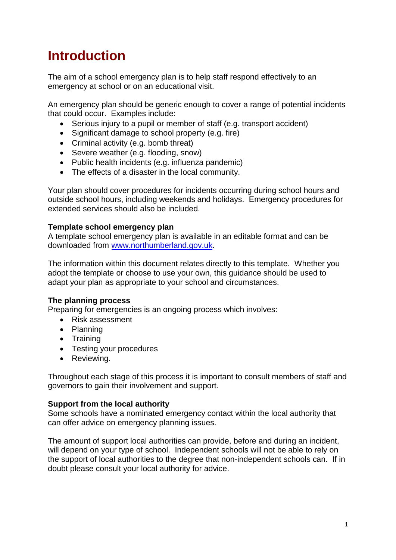# **Introduction**

The aim of a school emergency plan is to help staff respond effectively to an emergency at school or on an educational visit.

An emergency plan should be generic enough to cover a range of potential incidents that could occur. Examples include:

- Serious injury to a pupil or member of staff (e.g. transport accident)
- Significant damage to school property (e.g. fire)
- Criminal activity (e.g. bomb threat)
- Severe weather (e.g. flooding, snow)
- Public health incidents (e.g. influenza pandemic)
- The effects of a disaster in the local community.

Your plan should cover procedures for incidents occurring during school hours and outside school hours, including weekends and holidays. Emergency procedures for extended services should also be included.

### **Template school emergency plan**

A template school emergency plan is available in an editable format and can be downloaded from [www.northumberland.gov.uk.](http://www.northumberland.gov.uk/)

The information within this document relates directly to this template. Whether you adopt the template or choose to use your own, this guidance should be used to adapt your plan as appropriate to your school and circumstances.

### **The planning process**

Preparing for emergencies is an ongoing process which involves:

- Risk assessment
- Planning
- Training
- Testing your procedures
- Reviewing.

Throughout each stage of this process it is important to consult members of staff and governors to gain their involvement and support.

### **Support from the local authority**

Some schools have a nominated emergency contact within the local authority that can offer advice on emergency planning issues.

The amount of support local authorities can provide, before and during an incident, will depend on your type of school. Independent schools will not be able to rely on the support of local authorities to the degree that non-independent schools can. If in doubt please consult your local authority for advice.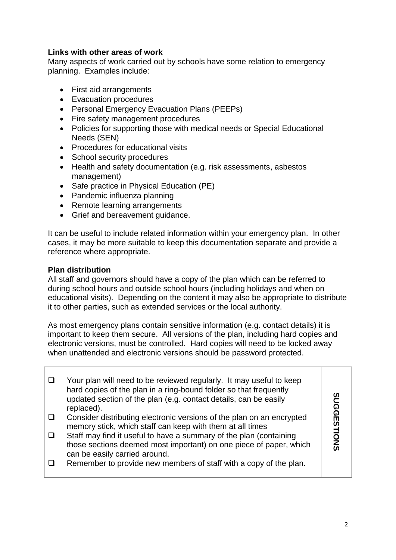### **Links with other areas of work**

Many aspects of work carried out by schools have some relation to emergency planning. Examples include:

- First aid arrangements
- Evacuation procedures
- Personal Emergency Evacuation Plans (PEEPs)
- Fire safety management procedures
- Policies for supporting those with medical needs or Special Educational Needs (SEN)
- Procedures for educational visits
- School security procedures
- Health and safety documentation (e.g. risk assessments, asbestos management)
- Safe practice in Physical Education (PE)
- Pandemic influenza planning
- Remote learning arrangements
- Grief and bereavement guidance.

It can be useful to include related information within your emergency plan. In other cases, it may be more suitable to keep this documentation separate and provide a reference where appropriate.

### **Plan distribution**

All staff and governors should have a copy of the plan which can be referred to during school hours and outside school hours (including holidays and when on educational visits). Depending on the content it may also be appropriate to distribute it to other parties, such as extended services or the local authority.

As most emergency plans contain sensitive information (e.g. contact details) it is important to keep them secure. All versions of the plan, including hard copies and electronic versions, must be controlled. Hard copies will need to be locked away when unattended and electronic versions should be password protected.

| Your plan will need to be reviewed regularly. It may useful to keep<br>hard copies of the plan in a ring-bound folder so that frequently<br>updated section of the plan (e.g. contact details, can be easily<br>replaced). | ທ<br>ັດ    |
|----------------------------------------------------------------------------------------------------------------------------------------------------------------------------------------------------------------------------|------------|
| Consider distributing electronic versions of the plan on an encrypted                                                                                                                                                      |            |
| memory stick, which staff can keep with them at all times                                                                                                                                                                  |            |
| Staff may find it useful to have a summary of the plan (containing                                                                                                                                                         |            |
| those sections deemed most important) on one piece of paper, which                                                                                                                                                         | <b>ONS</b> |
| can be easily carried around.                                                                                                                                                                                              |            |
| Remember to provide new members of staff with a copy of the plan.                                                                                                                                                          |            |
|                                                                                                                                                                                                                            |            |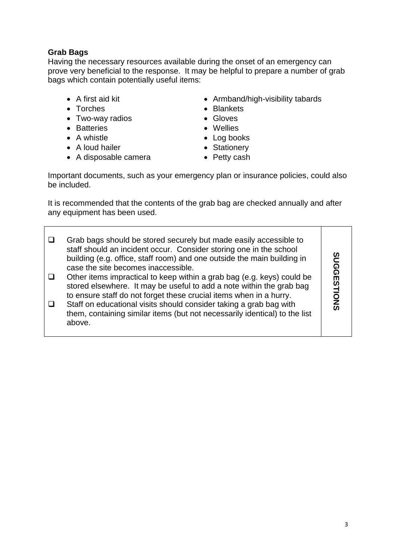### **Grab Bags**

Having the necessary resources available during the onset of an emergency can prove very beneficial to the response. It may be helpful to prepare a number of grab bags which contain potentially useful items:

- 
- Torches
- Two-way radios
- Batteries
- A whistle
- A loud hailer
- A disposable camera
- A first aid kit **Armband/high-visibility tabards** Armband/high-visibility tabards
	- Blankets
	- Gloves
	- Wellies
	- Log books
	- Stationery
	- Petty cash

Important documents, such as your emergency plan or insurance policies, could also be included.

It is recommended that the contents of the grab bag are checked annually and after any equipment has been used.

| Grab bags should be stored securely but made easily accessible to<br>staff should an incident occur. Consider storing one in the school<br>building (e.g. office, staff room) and one outside the main building in<br>case the site becomes inaccessible.<br>Other items impractical to keep within a grab bag (e.g. keys) could be<br>stored elsewhere. It may be useful to add a note within the grab bag<br>to ensure staff do not forget these crucial items when in a hurry.<br>Staff on educational visits should consider taking a grab bag with<br>them, containing similar items (but not necessarily identical) to the list<br>above. | ທ<br>ଜ<br>ଜ<br>Ш<br>Ō<br>Z<br>ഗ |
|-------------------------------------------------------------------------------------------------------------------------------------------------------------------------------------------------------------------------------------------------------------------------------------------------------------------------------------------------------------------------------------------------------------------------------------------------------------------------------------------------------------------------------------------------------------------------------------------------------------------------------------------------|---------------------------------|
|-------------------------------------------------------------------------------------------------------------------------------------------------------------------------------------------------------------------------------------------------------------------------------------------------------------------------------------------------------------------------------------------------------------------------------------------------------------------------------------------------------------------------------------------------------------------------------------------------------------------------------------------------|---------------------------------|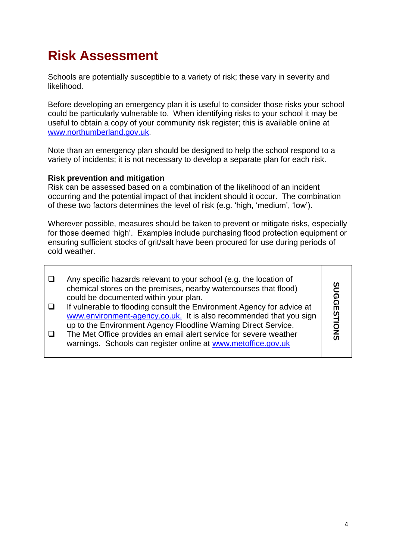# **Risk Assessment**

Schools are potentially susceptible to a variety of risk; these vary in severity and likelihood.

Before developing an emergency plan it is useful to consider those risks your school could be particularly vulnerable to. When identifying risks to your school it may be useful to obtain a copy of your community risk register; this is available online at [www.northumberland.gov.uk.](http://www.northumberland.gov.uk/)

Note than an emergency plan should be designed to help the school respond to a variety of incidents; it is not necessary to develop a separate plan for each risk.

### **Risk prevention and mitigation**

Risk can be assessed based on a combination of the likelihood of an incident occurring and the potential impact of that incident should it occur. The combination of these two factors determines the level of risk (e.g. 'high, 'medium', 'low').

Wherever possible, measures should be taken to prevent or mitigate risks, especially for those deemed 'high'. Examples include purchasing flood protection equipment or ensuring sufficient stocks of grit/salt have been procured for use during periods of cold weather.

| Any specific hazards relevant to your school (e.g. the location of<br>chemical stores on the premises, nearby watercourses that flood)<br>could be documented within your plan.                                | ഗ<br>ດ           |
|----------------------------------------------------------------------------------------------------------------------------------------------------------------------------------------------------------------|------------------|
| If vulnerable to flooding consult the Environment Agency for advice at<br>www.environment-agency.co.uk. It is also recommended that you sign<br>up to the Environment Agency Floodline Warning Direct Service. | ଜ<br>Ш<br>ᅼ<br>0 |
| The Met Office provides an email alert service for severe weather<br>warnings. Schools can register online at www.metoffice.gov.uk                                                                             | Ž<br>ග           |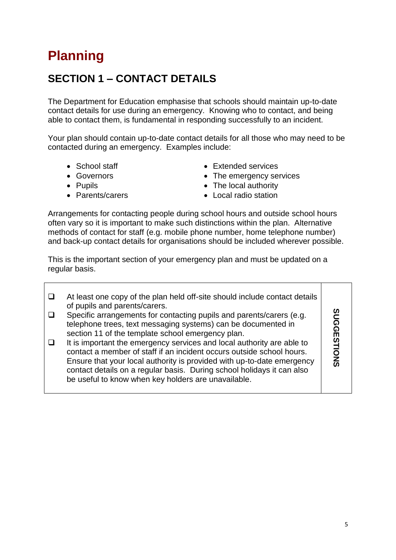# **Planning**

### **SECTION 1 – CONTACT DETAILS**

The Department for Education emphasise that schools should maintain up-to-date contact details for use during an emergency. Knowing who to contact, and being able to contact them, is fundamental in responding successfully to an incident.

Your plan should contain up-to-date contact details for all those who may need to be contacted during an emergency. Examples include:

- 
- Governors
- Pupils
- Parents/carers
- School staff Extended services
	- The emergency services
	- The local authority
	- Local radio station

Arrangements for contacting people during school hours and outside school hours often vary so it is important to make such distinctions within the plan. Alternative methods of contact for staff (e.g. mobile phone number, home telephone number) and back-up contact details for organisations should be included wherever possible.

This is the important section of your emergency plan and must be updated on a regular basis.

| At least one copy of the plan held off-site should include contact details<br>of pupils and parents/carers.<br>Specific arrangements for contacting pupils and parents/carers (e.g.<br>telephone trees, text messaging systems) can be documented in<br>section 11 of the template school emergency plan.<br>It is important the emergency services and local authority are able to<br>contact a member of staff if an incident occurs outside school hours.<br>Ensure that your local authority is provided with up-to-date emergency | ດ<br><b>DNS</b> |
|----------------------------------------------------------------------------------------------------------------------------------------------------------------------------------------------------------------------------------------------------------------------------------------------------------------------------------------------------------------------------------------------------------------------------------------------------------------------------------------------------------------------------------------|-----------------|
| contact details on a regular basis. During school holidays it can also<br>be useful to know when key holders are unavailable.                                                                                                                                                                                                                                                                                                                                                                                                          |                 |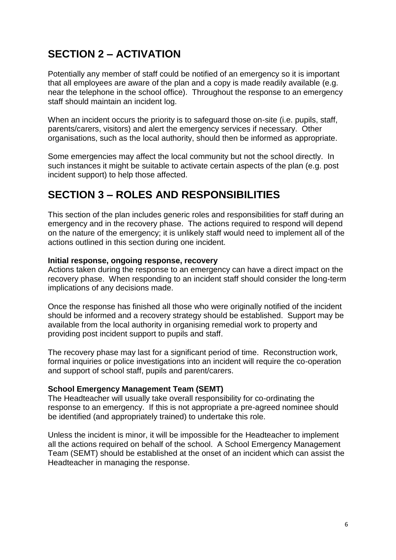### **SECTION 2 – ACTIVATION**

Potentially any member of staff could be notified of an emergency so it is important that all employees are aware of the plan and a copy is made readily available (e.g. near the telephone in the school office). Throughout the response to an emergency staff should maintain an incident log.

When an incident occurs the priority is to safeguard those on-site (i.e. pupils, staff, parents/carers, visitors) and alert the emergency services if necessary. Other organisations, such as the local authority, should then be informed as appropriate.

Some emergencies may affect the local community but not the school directly. In such instances it might be suitable to activate certain aspects of the plan (e.g. post incident support) to help those affected.

### **SECTION 3 – ROLES AND RESPONSIBILITIES**

This section of the plan includes generic roles and responsibilities for staff during an emergency and in the recovery phase. The actions required to respond will depend on the nature of the emergency; it is unlikely staff would need to implement all of the actions outlined in this section during one incident.

#### **Initial response, ongoing response, recovery**

Actions taken during the response to an emergency can have a direct impact on the recovery phase. When responding to an incident staff should consider the long-term implications of any decisions made.

Once the response has finished all those who were originally notified of the incident should be informed and a recovery strategy should be established. Support may be available from the local authority in organising remedial work to property and providing post incident support to pupils and staff.

The recovery phase may last for a significant period of time. Reconstruction work, formal inquiries or police investigations into an incident will require the co-operation and support of school staff, pupils and parent/carers.

### **School Emergency Management Team (SEMT)**

The Headteacher will usually take overall responsibility for co-ordinating the response to an emergency. If this is not appropriate a pre-agreed nominee should be identified (and appropriately trained) to undertake this role.

Unless the incident is minor, it will be impossible for the Headteacher to implement all the actions required on behalf of the school. A School Emergency Management Team (SEMT) should be established at the onset of an incident which can assist the Headteacher in managing the response.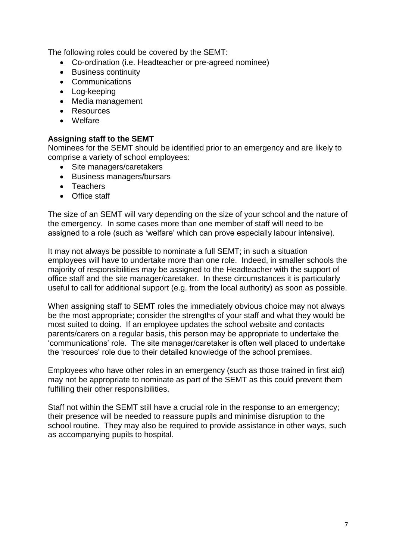The following roles could be covered by the SEMT:

- Co-ordination (i.e. Headteacher or pre-agreed nominee)
- Business continuity
- Communications
- Log-keeping
- Media management
- Resources
- Welfare

### **Assigning staff to the SEMT**

Nominees for the SEMT should be identified prior to an emergency and are likely to comprise a variety of school employees:

- Site managers/caretakers
- Business managers/bursars
- Teachers
- Office staff

The size of an SEMT will vary depending on the size of your school and the nature of the emergency. In some cases more than one member of staff will need to be assigned to a role (such as 'welfare' which can prove especially labour intensive).

It may not always be possible to nominate a full SEMT; in such a situation employees will have to undertake more than one role. Indeed, in smaller schools the majority of responsibilities may be assigned to the Headteacher with the support of office staff and the site manager/caretaker. In these circumstances it is particularly useful to call for additional support (e.g. from the local authority) as soon as possible.

When assigning staff to SEMT roles the immediately obvious choice may not always be the most appropriate; consider the strengths of your staff and what they would be most suited to doing. If an employee updates the school website and contacts parents/carers on a regular basis, this person may be appropriate to undertake the 'communications' role. The site manager/caretaker is often well placed to undertake the 'resources' role due to their detailed knowledge of the school premises.

Employees who have other roles in an emergency (such as those trained in first aid) may not be appropriate to nominate as part of the SEMT as this could prevent them fulfilling their other responsibilities.

Staff not within the SEMT still have a crucial role in the response to an emergency; their presence will be needed to reassure pupils and minimise disruption to the school routine. They may also be required to provide assistance in other ways, such as accompanying pupils to hospital.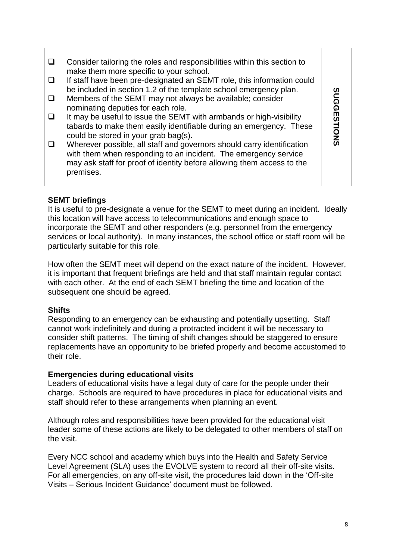| Consider tailoring the roles and responsibilities within this section to<br>make them more specific to your school.                                                                                                              |            |
|----------------------------------------------------------------------------------------------------------------------------------------------------------------------------------------------------------------------------------|------------|
| If staff have been pre-designated an SEMT role, this information could<br>be included in section 1.2 of the template school emergency plan.                                                                                      |            |
| Members of the SEMT may not always be available; consider<br>nominating deputies for each role.                                                                                                                                  | ໑<br>ດ     |
| It may be useful to issue the SEMT with armbands or high-visibility<br>tabards to make them easily identifiable during an emergency. These<br>could be stored in your grab bag(s).                                               | Ш<br>TIONS |
| Wherever possible, all staff and governors should carry identification<br>with them when responding to an incident. The emergency service<br>may ask staff for proof of identity before allowing them access to the<br>premises. |            |
|                                                                                                                                                                                                                                  |            |

### **SEMT briefings**

It is useful to pre-designate a venue for the SEMT to meet during an incident. Ideally this location will have access to telecommunications and enough space to incorporate the SEMT and other responders (e.g. personnel from the emergency services or local authority). In many instances, the school office or staff room will be particularly suitable for this role.

How often the SEMT meet will depend on the exact nature of the incident. However, it is important that frequent briefings are held and that staff maintain regular contact with each other. At the end of each SEMT briefing the time and location of the subsequent one should be agreed.

### **Shifts**

Responding to an emergency can be exhausting and potentially upsetting. Staff cannot work indefinitely and during a protracted incident it will be necessary to consider shift patterns. The timing of shift changes should be staggered to ensure replacements have an opportunity to be briefed properly and become accustomed to their role.

### **Emergencies during educational visits**

Leaders of educational visits have a legal duty of care for the people under their charge. Schools are required to have procedures in place for educational visits and staff should refer to these arrangements when planning an event.

Although roles and responsibilities have been provided for the educational visit leader some of these actions are likely to be delegated to other members of staff on the visit.

Every NCC school and academy which buys into the Health and Safety Service Level Agreement (SLA) uses the EVOLVE system to record all their off-site visits. For all emergencies, on any off-site visit, the procedures laid down in the 'Off-site Visits – Serious Incident Guidance' document must be followed.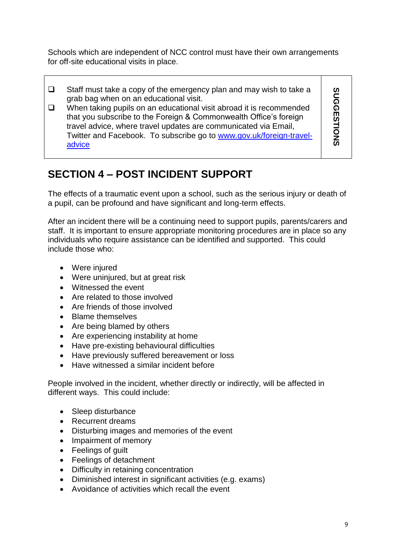Schools which are independent of NCC control must have their own arrangements for off-site educational visits in place.

- $\Box$  Staff must take a copy of the emergency plan and may wish to take a grab bag when on an educational visit.
- $\Box$  When taking pupils on an educational visit abroad it is recommended that you subscribe to the Foreign & Commonwealth Office's foreign travel advice, where travel updates are communicated via Email, Twitter and Facebook. To subscribe go to [www.gov.uk/foreign-travel](http://www.gov.uk/foreign-travel-advice)[advice](http://www.gov.uk/foreign-travel-advice)

**SUGGESTIONS SUGGESTIONS**

### **SECTION 4 – POST INCIDENT SUPPORT**

The effects of a traumatic event upon a school, such as the serious injury or death of a pupil, can be profound and have significant and long-term effects.

After an incident there will be a continuing need to support pupils, parents/carers and staff. It is important to ensure appropriate monitoring procedures are in place so any individuals who require assistance can be identified and supported. This could include those who:

- Were injured
- Were uninjured, but at great risk
- Witnessed the event
- Are related to those involved
- Are friends of those involved
- Blame themselves
- Are being blamed by others
- Are experiencing instability at home
- Have pre-existing behavioural difficulties
- Have previously suffered bereavement or loss
- Have witnessed a similar incident before

People involved in the incident, whether directly or indirectly, will be affected in different ways. This could include:

- Sleep disturbance
- Recurrent dreams
- Disturbing images and memories of the event
- Impairment of memory
- Feelings of guilt
- Feelings of detachment
- Difficulty in retaining concentration
- Diminished interest in significant activities (e.g. exams)
- Avoidance of activities which recall the event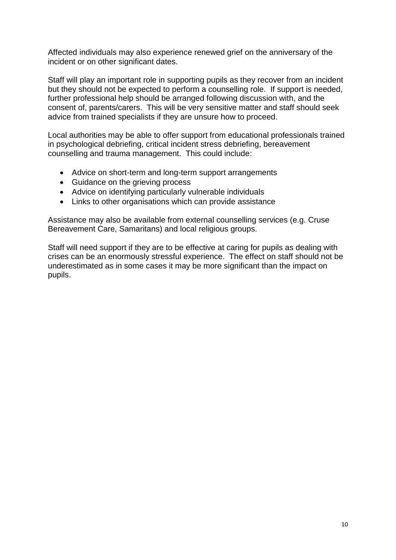Affected individuals may also experience renewed grief on the anniversary of the incident or on other significant dates.

Staff will play an important role in supporting pupils as they recover from an incident but they should not be expected to perform a counselling role. If support is needed, further professional help should be arranged following discussion with, and the consent of, parents/carers. This will be very sensitive matter and staff should seek advice from trained specialists if they are unsure how to proceed.

Local authorities may be able to offer support from educational professionals trained in psychological debriefing, critical incident stress debriefing, bereavement counselling and trauma management. This could include:

- Advice on short-term and long-term support arrangements
- Guidance on the grieving process
- Advice on identifying particularly vulnerable individuals
- Links to other organisations which can provide assistance

Assistance may also be available from external counselling services (e.g. Cruse Bereavement Care, Samaritans) and local religious groups.

Staff will need support if they are to be effective at caring for pupils as dealing with crises can be an enormously stressful experience. The effect on staff should not be underestimated as in some cases it may be more significant than the impact on pupils.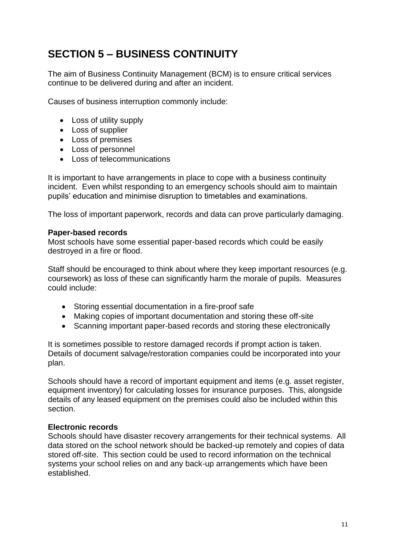### **SECTION 5 – BUSINESS CONTINUITY**

The aim of Business Continuity Management (BCM) is to ensure critical services continue to be delivered during and after an incident.

Causes of business interruption commonly include:

- Loss of utility supply
- Loss of supplier
- Loss of premises
- Loss of personnel
- Loss of telecommunications

It is important to have arrangements in place to cope with a business continuity incident. Even whilst responding to an emergency schools should aim to maintain pupils' education and minimise disruption to timetables and examinations.

The loss of important paperwork, records and data can prove particularly damaging.

#### **Paper-based records**

Most schools have some essential paper-based records which could be easily destroyed in a fire or flood.

Staff should be encouraged to think about where they keep important resources (e.g. coursework) as loss of these can significantly harm the morale of pupils. Measures could include:

- Storing essential documentation in a fire-proof safe
- Making copies of important documentation and storing these off-site
- Scanning important paper-based records and storing these electronically

It is sometimes possible to restore damaged records if prompt action is taken. Details of document salvage/restoration companies could be incorporated into your plan.

Schools should have a record of important equipment and items (e.g. asset register, equipment inventory) for calculating losses for insurance purposes. This, alongside details of any leased equipment on the premises could also be included within this section.

### **Electronic records**

Schools should have disaster recovery arrangements for their technical systems. All data stored on the school network should be backed-up remotely and copies of data stored off-site. This section could be used to record information on the technical systems your school relies on and any back-up arrangements which have been established.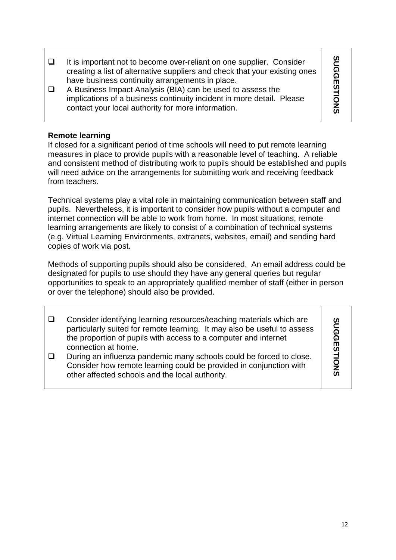**SUGGESTIONS SUGGESTIONS**  $\Box$  It is important not to become over-reliant on one supplier. Consider creating a list of alternative suppliers and check that your existing ones have business continuity arrangements in place. A Business Impact Analysis (BIA) can be used to assess the implications of a business continuity incident in more detail. Please contact your local authority for more information.

### **Remote learning**

If closed for a significant period of time schools will need to put remote learning measures in place to provide pupils with a reasonable level of teaching. A reliable and consistent method of distributing work to pupils should be established and pupils will need advice on the arrangements for submitting work and receiving feedback from teachers.

Technical systems play a vital role in maintaining communication between staff and pupils. Nevertheless, it is important to consider how pupils without a computer and internet connection will be able to work from home. In most situations, remote learning arrangements are likely to consist of a combination of technical systems (e.g. Virtual Learning Environments, extranets, websites, email) and sending hard copies of work via post.

Methods of supporting pupils should also be considered. An email address could be designated for pupils to use should they have any general queries but regular opportunities to speak to an appropriately qualified member of staff (either in person or over the telephone) should also be provided.

| Consider identifying learning resources/teaching materials which are<br>particularly suited for remote learning. It may also be useful to assess<br>the proportion of pupils with access to a computer and internet<br>connection at home. | ທ |
|--------------------------------------------------------------------------------------------------------------------------------------------------------------------------------------------------------------------------------------------|---|
| During an influenza pandemic many schools could be forced to close.<br>Consider how remote learning could be provided in conjunction with<br>other affected schools and the local authority.                                               |   |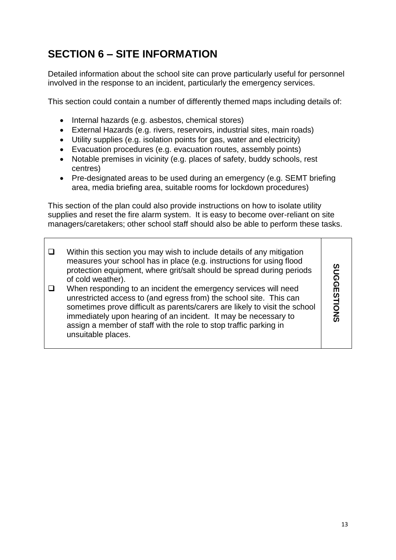### **SECTION 6 – SITE INFORMATION**

Detailed information about the school site can prove particularly useful for personnel involved in the response to an incident, particularly the emergency services.

This section could contain a number of differently themed maps including details of:

- Internal hazards (e.g. asbestos, chemical stores)
- External Hazards (e.g. rivers, reservoirs, industrial sites, main roads)
- Utility supplies (e.g. isolation points for gas, water and electricity)
- Evacuation procedures (e.g. evacuation routes, assembly points)
- Notable premises in vicinity (e.g. places of safety, buddy schools, rest centres)
- Pre-designated areas to be used during an emergency (e.g. SEMT briefing area, media briefing area, suitable rooms for lockdown procedures)

This section of the plan could also provide instructions on how to isolate utility supplies and reset the fire alarm system. It is easy to become over-reliant on site managers/caretakers; other school staff should also be able to perform these tasks.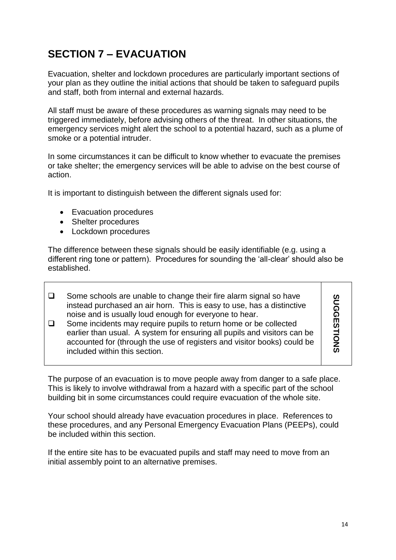### **SECTION 7 – EVACUATION**

Evacuation, shelter and lockdown procedures are particularly important sections of your plan as they outline the initial actions that should be taken to safeguard pupils and staff, both from internal and external hazards.

All staff must be aware of these procedures as warning signals may need to be triggered immediately, before advising others of the threat. In other situations, the emergency services might alert the school to a potential hazard, such as a plume of smoke or a potential intruder.

In some circumstances it can be difficult to know whether to evacuate the premises or take shelter; the emergency services will be able to advise on the best course of action.

It is important to distinguish between the different signals used for:

- Evacuation procedures
- Shelter procedures
- Lockdown procedures

The difference between these signals should be easily identifiable (e.g. using a different ring tone or pattern). Procedures for sounding the 'all-clear' should also be established.

- $\square$  Some schools are unable to change their fire alarm signal so have **SUGGESTIONS SUGGESTIONS** instead purchased an air horn. This is easy to use, has a distinctive noise and is usually loud enough for everyone to hear.  $\Box$  Some incidents may require pupils to return home or be collected
- earlier than usual. A system for ensuring all pupils and visitors can be accounted for (through the use of registers and visitor books) could be included within this section.

The purpose of an evacuation is to move people away from danger to a safe place. This is likely to involve withdrawal from a hazard with a specific part of the school building bit in some circumstances could require evacuation of the whole site.

Your school should already have evacuation procedures in place. References to these procedures, and any Personal Emergency Evacuation Plans (PEEPs), could be included within this section.

If the entire site has to be evacuated pupils and staff may need to move from an initial assembly point to an alternative premises.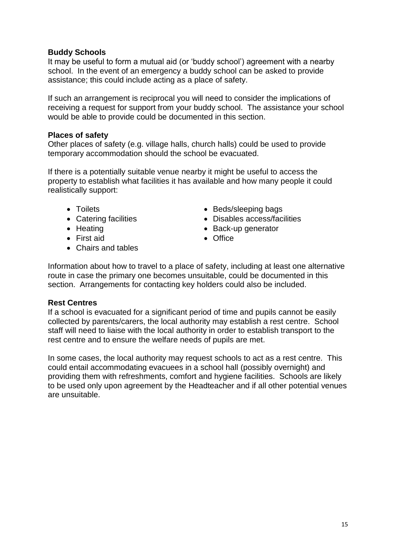### **Buddy Schools**

It may be useful to form a mutual aid (or 'buddy school') agreement with a nearby school. In the event of an emergency a buddy school can be asked to provide assistance; this could include acting as a place of safety.

If such an arrangement is reciprocal you will need to consider the implications of receiving a request for support from your buddy school. The assistance your school would be able to provide could be documented in this section.

### **Places of safety**

Other places of safety (e.g. village halls, church halls) could be used to provide temporary accommodation should the school be evacuated.

If there is a potentially suitable venue nearby it might be useful to access the property to establish what facilities it has available and how many people it could realistically support:

- 
- Catering facilities
- Heating
- **•** First aid
- Chairs and tables
- Toilets  **Beds/sleeping bags** 
	- Disables access/facilities
	- Back-up generator
	- Office

Information about how to travel to a place of safety, including at least one alternative route in case the primary one becomes unsuitable, could be documented in this section. Arrangements for contacting key holders could also be included.

### **Rest Centres**

If a school is evacuated for a significant period of time and pupils cannot be easily collected by parents/carers, the local authority may establish a rest centre. School staff will need to liaise with the local authority in order to establish transport to the rest centre and to ensure the welfare needs of pupils are met.

In some cases, the local authority may request schools to act as a rest centre. This could entail accommodating evacuees in a school hall (possibly overnight) and providing them with refreshments, comfort and hygiene facilities. Schools are likely to be used only upon agreement by the Headteacher and if all other potential venues are unsuitable.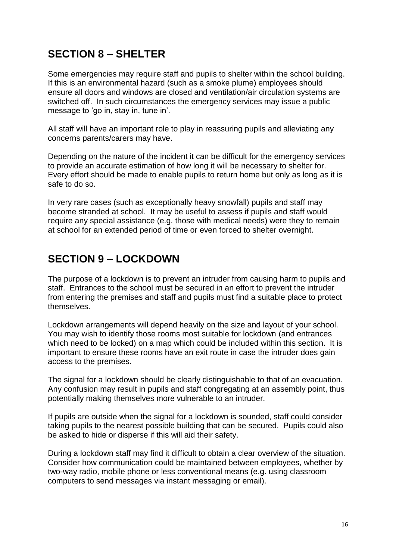### **SECTION 8 – SHELTER**

Some emergencies may require staff and pupils to shelter within the school building. If this is an environmental hazard (such as a smoke plume) employees should ensure all doors and windows are closed and ventilation/air circulation systems are switched off. In such circumstances the emergency services may issue a public message to 'go in, stay in, tune in'.

All staff will have an important role to play in reassuring pupils and alleviating any concerns parents/carers may have.

Depending on the nature of the incident it can be difficult for the emergency services to provide an accurate estimation of how long it will be necessary to shelter for. Every effort should be made to enable pupils to return home but only as long as it is safe to do so.

In very rare cases (such as exceptionally heavy snowfall) pupils and staff may become stranded at school. It may be useful to assess if pupils and staff would require any special assistance (e.g. those with medical needs) were they to remain at school for an extended period of time or even forced to shelter overnight.

### **SECTION 9 – LOCKDOWN**

The purpose of a lockdown is to prevent an intruder from causing harm to pupils and staff. Entrances to the school must be secured in an effort to prevent the intruder from entering the premises and staff and pupils must find a suitable place to protect themselves.

Lockdown arrangements will depend heavily on the size and layout of your school. You may wish to identify those rooms most suitable for lockdown (and entrances which need to be locked) on a map which could be included within this section. It is important to ensure these rooms have an exit route in case the intruder does gain access to the premises.

The signal for a lockdown should be clearly distinguishable to that of an evacuation. Any confusion may result in pupils and staff congregating at an assembly point, thus potentially making themselves more vulnerable to an intruder.

If pupils are outside when the signal for a lockdown is sounded, staff could consider taking pupils to the nearest possible building that can be secured. Pupils could also be asked to hide or disperse if this will aid their safety.

During a lockdown staff may find it difficult to obtain a clear overview of the situation. Consider how communication could be maintained between employees, whether by two-way radio, mobile phone or less conventional means (e.g. using classroom computers to send messages via instant messaging or email).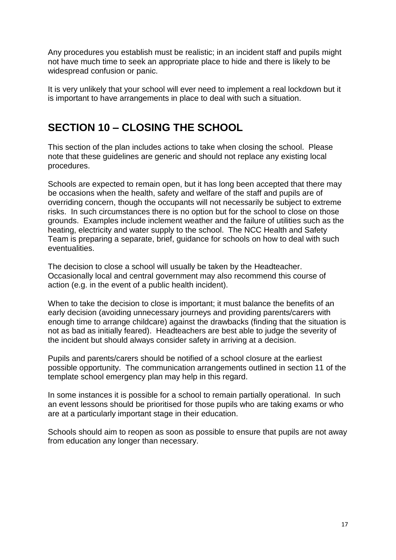Any procedures you establish must be realistic; in an incident staff and pupils might not have much time to seek an appropriate place to hide and there is likely to be widespread confusion or panic.

It is very unlikely that your school will ever need to implement a real lockdown but it is important to have arrangements in place to deal with such a situation.

### **SECTION 10 – CLOSING THE SCHOOL**

This section of the plan includes actions to take when closing the school. Please note that these guidelines are generic and should not replace any existing local procedures.

Schools are expected to remain open, but it has long been accepted that there may be occasions when the health, safety and welfare of the staff and pupils are of overriding concern, though the occupants will not necessarily be subject to extreme risks. In such circumstances there is no option but for the school to close on those grounds. Examples include inclement weather and the failure of utilities such as the heating, electricity and water supply to the school. The NCC Health and Safety Team is preparing a separate, brief, guidance for schools on how to deal with such eventualities.

The decision to close a school will usually be taken by the Headteacher. Occasionally local and central government may also recommend this course of action (e.g. in the event of a public health incident).

When to take the decision to close is important; it must balance the benefits of an early decision (avoiding unnecessary journeys and providing parents/carers with enough time to arrange childcare) against the drawbacks (finding that the situation is not as bad as initially feared). Headteachers are best able to judge the severity of the incident but should always consider safety in arriving at a decision.

Pupils and parents/carers should be notified of a school closure at the earliest possible opportunity. The communication arrangements outlined in section 11 of the template school emergency plan may help in this regard.

In some instances it is possible for a school to remain partially operational. In such an event lessons should be prioritised for those pupils who are taking exams or who are at a particularly important stage in their education.

Schools should aim to reopen as soon as possible to ensure that pupils are not away from education any longer than necessary.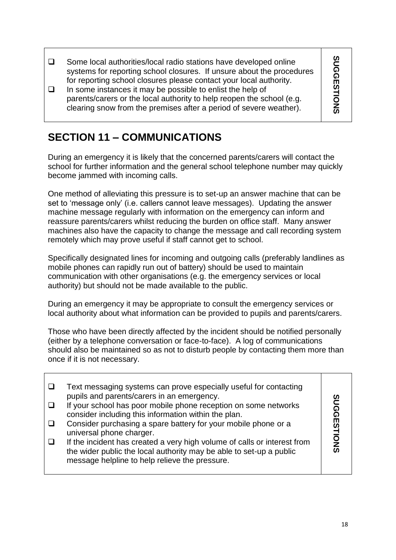**SUGGESTIONS SUGGESTIONS**  $\square$  Some local authorities/local radio stations have developed online systems for reporting school closures. If unsure about the procedures for reporting school closures please contact your local authority.  $\Box$  In some instances it may be possible to enlist the help of parents/carers or the local authority to help reopen the school (e.g. clearing snow from the premises after a period of severe weather).

### **SECTION 11 – COMMUNICATIONS**

During an emergency it is likely that the concerned parents/carers will contact the school for further information and the general school telephone number may quickly become jammed with incoming calls.

One method of alleviating this pressure is to set-up an answer machine that can be set to 'message only' (i.e. callers cannot leave messages). Updating the answer machine message regularly with information on the emergency can inform and reassure parents/carers whilst reducing the burden on office staff. Many answer machines also have the capacity to change the message and call recording system remotely which may prove useful if staff cannot get to school.

Specifically designated lines for incoming and outgoing calls (preferably landlines as mobile phones can rapidly run out of battery) should be used to maintain communication with other organisations (e.g. the emergency services or local authority) but should not be made available to the public.

During an emergency it may be appropriate to consult the emergency services or local authority about what information can be provided to pupils and parents/carers.

Those who have been directly affected by the incident should be notified personally (either by a telephone conversation or face-to-face). A log of communications should also be maintained so as not to disturb people by contacting them more than once if it is not necessary.

| Text messaging systems can prove especially useful for contacting<br>pupils and parents/carers in an emergency.<br>If your school has poor mobile phone reception on some networks<br>consider including this information within the plan.<br>Consider purchasing a spare battery for your mobile phone or a<br>universal phone charger.<br>If the incident has created a very high volume of calls or interest from | <br>និង |
|----------------------------------------------------------------------------------------------------------------------------------------------------------------------------------------------------------------------------------------------------------------------------------------------------------------------------------------------------------------------------------------------------------------------|---------|
| the wider public the local authority may be able to set-up a public<br>message helpline to help relieve the pressure.                                                                                                                                                                                                                                                                                                |         |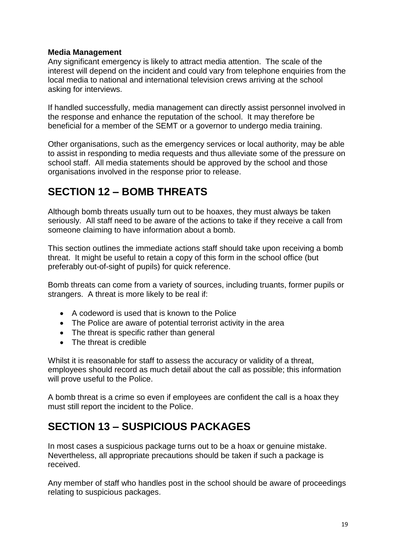### **Media Management**

Any significant emergency is likely to attract media attention. The scale of the interest will depend on the incident and could vary from telephone enquiries from the local media to national and international television crews arriving at the school asking for interviews.

If handled successfully, media management can directly assist personnel involved in the response and enhance the reputation of the school. It may therefore be beneficial for a member of the SEMT or a governor to undergo media training.

Other organisations, such as the emergency services or local authority, may be able to assist in responding to media requests and thus alleviate some of the pressure on school staff. All media statements should be approved by the school and those organisations involved in the response prior to release.

### **SECTION 12 – BOMB THREATS**

Although bomb threats usually turn out to be hoaxes, they must always be taken seriously. All staff need to be aware of the actions to take if they receive a call from someone claiming to have information about a bomb.

This section outlines the immediate actions staff should take upon receiving a bomb threat. It might be useful to retain a copy of this form in the school office (but preferably out-of-sight of pupils) for quick reference.

Bomb threats can come from a variety of sources, including truants, former pupils or strangers. A threat is more likely to be real if:

- A codeword is used that is known to the Police
- The Police are aware of potential terrorist activity in the area
- The threat is specific rather than general
- The threat is credible

Whilst it is reasonable for staff to assess the accuracy or validity of a threat, employees should record as much detail about the call as possible; this information will prove useful to the Police.

A bomb threat is a crime so even if employees are confident the call is a hoax they must still report the incident to the Police.

### **SECTION 13 – SUSPICIOUS PACKAGES**

In most cases a suspicious package turns out to be a hoax or genuine mistake. Nevertheless, all appropriate precautions should be taken if such a package is received.

Any member of staff who handles post in the school should be aware of proceedings relating to suspicious packages.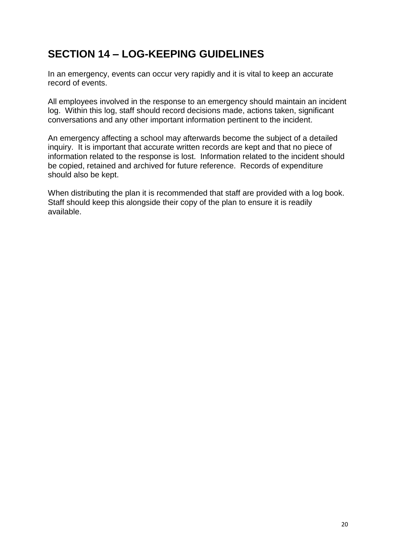### **SECTION 14 – LOG-KEEPING GUIDELINES**

In an emergency, events can occur very rapidly and it is vital to keep an accurate record of events.

All employees involved in the response to an emergency should maintain an incident log. Within this log, staff should record decisions made, actions taken, significant conversations and any other important information pertinent to the incident.

An emergency affecting a school may afterwards become the subject of a detailed inquiry. It is important that accurate written records are kept and that no piece of information related to the response is lost. Information related to the incident should be copied, retained and archived for future reference. Records of expenditure should also be kept.

When distributing the plan it is recommended that staff are provided with a log book. Staff should keep this alongside their copy of the plan to ensure it is readily available.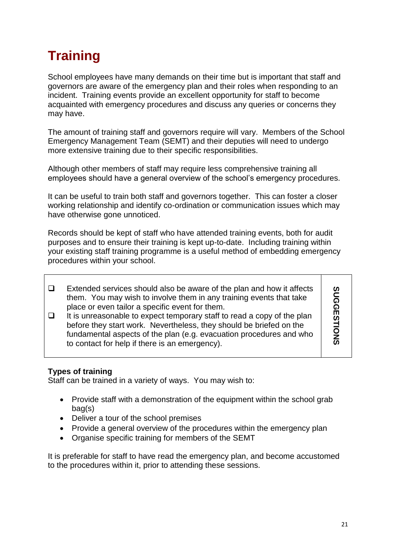# **Training**

School employees have many demands on their time but is important that staff and governors are aware of the emergency plan and their roles when responding to an incident. Training events provide an excellent opportunity for staff to become acquainted with emergency procedures and discuss any queries or concerns they may have.

The amount of training staff and governors require will vary. Members of the School Emergency Management Team (SEMT) and their deputies will need to undergo more extensive training due to their specific responsibilities.

Although other members of staff may require less comprehensive training all employees should have a general overview of the school's emergency procedures.

It can be useful to train both staff and governors together. This can foster a closer working relationship and identify co-ordination or communication issues which may have otherwise gone unnoticed.

Records should be kept of staff who have attended training events, both for audit purposes and to ensure their training is kept up-to-date. Including training within your existing staff training programme is a useful method of embedding emergency procedures within your school.

- $\Box$  Extended services should also be aware of the plan and how it affects them. You may wish to involve them in any training events that take place or even tailor a specific event for them.  $\Box$  It is unreasonable to expect temporary staff to read a copy of the plan
- before they start work. Nevertheless, they should be briefed on the fundamental aspects of the plan (e.g. evacuation procedures and who to contact for help if there is an emergency).

### **Types of training**

Staff can be trained in a variety of ways. You may wish to:

- Provide staff with a demonstration of the equipment within the school grab bag(s)
- Deliver a tour of the school premises
- Provide a general overview of the procedures within the emergency plan
- Organise specific training for members of the SEMT

It is preferable for staff to have read the emergency plan, and become accustomed to the procedures within it, prior to attending these sessions.

**SUGGESTIONS**

SUGGESTIONS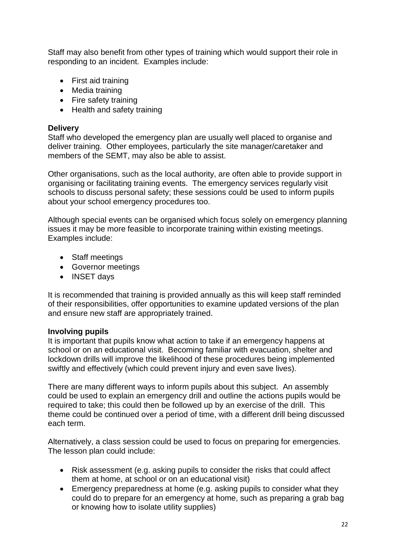Staff may also benefit from other types of training which would support their role in responding to an incident. Examples include:

- First aid training
- Media training
- Fire safety training
- Health and safety training

### **Delivery**

Staff who developed the emergency plan are usually well placed to organise and deliver training. Other employees, particularly the site manager/caretaker and members of the SEMT, may also be able to assist.

Other organisations, such as the local authority, are often able to provide support in organising or facilitating training events. The emergency services regularly visit schools to discuss personal safety; these sessions could be used to inform pupils about your school emergency procedures too.

Although special events can be organised which focus solely on emergency planning issues it may be more feasible to incorporate training within existing meetings. Examples include:

- Staff meetings
- Governor meetings
- INSET days

It is recommended that training is provided annually as this will keep staff reminded of their responsibilities, offer opportunities to examine updated versions of the plan and ensure new staff are appropriately trained.

### **Involving pupils**

It is important that pupils know what action to take if an emergency happens at school or on an educational visit. Becoming familiar with evacuation, shelter and lockdown drills will improve the likelihood of these procedures being implemented swiftly and effectively (which could prevent injury and even save lives).

There are many different ways to inform pupils about this subject. An assembly could be used to explain an emergency drill and outline the actions pupils would be required to take; this could then be followed up by an exercise of the drill. This theme could be continued over a period of time, with a different drill being discussed each term.

Alternatively, a class session could be used to focus on preparing for emergencies. The lesson plan could include:

- Risk assessment (e.g. asking pupils to consider the risks that could affect them at home, at school or on an educational visit)
- Emergency preparedness at home (e.g. asking pupils to consider what they could do to prepare for an emergency at home, such as preparing a grab bag or knowing how to isolate utility supplies)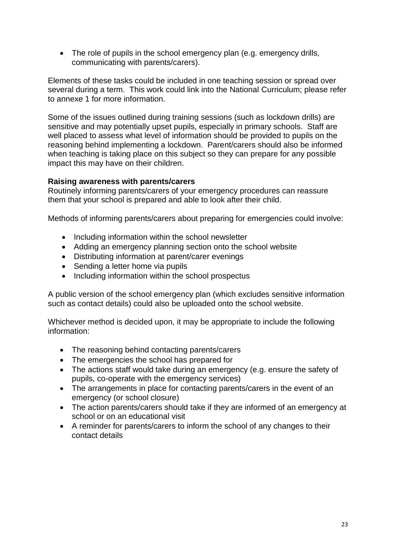• The role of pupils in the school emergency plan (e.g. emergency drills, communicating with parents/carers).

Elements of these tasks could be included in one teaching session or spread over several during a term. This work could link into the National Curriculum; please refer to annexe 1 for more information.

Some of the issues outlined during training sessions (such as lockdown drills) are sensitive and may potentially upset pupils, especially in primary schools. Staff are well placed to assess what level of information should be provided to pupils on the reasoning behind implementing a lockdown. Parent/carers should also be informed when teaching is taking place on this subject so they can prepare for any possible impact this may have on their children.

### **Raising awareness with parents/carers**

Routinely informing parents/carers of your emergency procedures can reassure them that your school is prepared and able to look after their child.

Methods of informing parents/carers about preparing for emergencies could involve:

- Including information within the school newsletter
- Adding an emergency planning section onto the school website
- Distributing information at parent/carer evenings
- Sending a letter home via pupils
- Including information within the school prospectus

A public version of the school emergency plan (which excludes sensitive information such as contact details) could also be uploaded onto the school website.

Whichever method is decided upon, it may be appropriate to include the following information:

- The reasoning behind contacting parents/carers
- The emergencies the school has prepared for
- The actions staff would take during an emergency (e.g. ensure the safety of pupils, co-operate with the emergency services)
- The arrangements in place for contacting parents/carers in the event of an emergency (or school closure)
- The action parents/carers should take if they are informed of an emergency at school or on an educational visit
- A reminder for parents/carers to inform the school of any changes to their contact details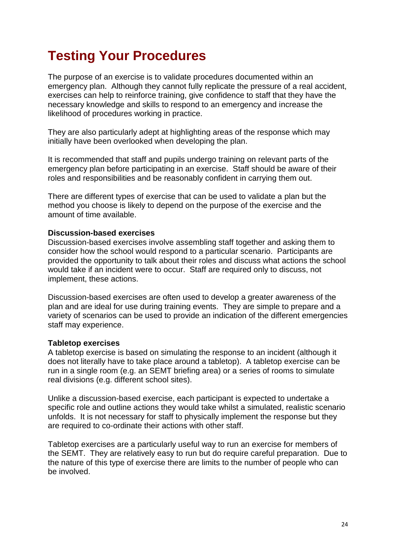# **Testing Your Procedures**

The purpose of an exercise is to validate procedures documented within an emergency plan. Although they cannot fully replicate the pressure of a real accident, exercises can help to reinforce training, give confidence to staff that they have the necessary knowledge and skills to respond to an emergency and increase the likelihood of procedures working in practice.

They are also particularly adept at highlighting areas of the response which may initially have been overlooked when developing the plan.

It is recommended that staff and pupils undergo training on relevant parts of the emergency plan before participating in an exercise. Staff should be aware of their roles and responsibilities and be reasonably confident in carrying them out.

There are different types of exercise that can be used to validate a plan but the method you choose is likely to depend on the purpose of the exercise and the amount of time available.

#### **Discussion-based exercises**

Discussion-based exercises involve assembling staff together and asking them to consider how the school would respond to a particular scenario. Participants are provided the opportunity to talk about their roles and discuss what actions the school would take if an incident were to occur. Staff are required only to discuss, not implement, these actions.

Discussion-based exercises are often used to develop a greater awareness of the plan and are ideal for use during training events. They are simple to prepare and a variety of scenarios can be used to provide an indication of the different emergencies staff may experience.

#### **Tabletop exercises**

A tabletop exercise is based on simulating the response to an incident (although it does not literally have to take place around a tabletop). A tabletop exercise can be run in a single room (e.g. an SEMT briefing area) or a series of rooms to simulate real divisions (e.g. different school sites).

Unlike a discussion-based exercise, each participant is expected to undertake a specific role and outline actions they would take whilst a simulated, realistic scenario unfolds. It is not necessary for staff to physically implement the response but they are required to co-ordinate their actions with other staff.

Tabletop exercises are a particularly useful way to run an exercise for members of the SEMT. They are relatively easy to run but do require careful preparation. Due to the nature of this type of exercise there are limits to the number of people who can be involved.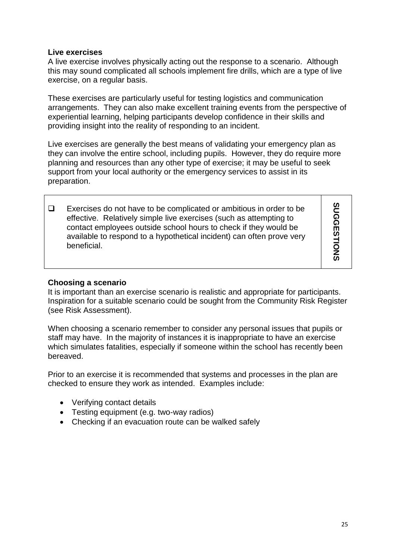### **Live exercises**

A live exercise involves physically acting out the response to a scenario. Although this may sound complicated all schools implement fire drills, which are a type of live exercise, on a regular basis.

These exercises are particularly useful for testing logistics and communication arrangements. They can also make excellent training events from the perspective of experiential learning, helping participants develop confidence in their skills and providing insight into the reality of responding to an incident.

Live exercises are generally the best means of validating your emergency plan as they can involve the entire school, including pupils. However, they do require more planning and resources than any other type of exercise; it may be useful to seek support from your local authority or the emergency services to assist in its preparation.

 $\Box$  Exercises do not have to be complicated or ambitious in order to be effective. Relatively simple live exercises (such as attempting to contact employees outside school hours to check if they would be available to respond to a hypothetical incident) can often prove very beneficial.

### **Choosing a scenario**

It is important than an exercise scenario is realistic and appropriate for participants. Inspiration for a suitable scenario could be sought from the Community Risk Register (see Risk Assessment).

When choosing a scenario remember to consider any personal issues that pupils or staff may have. In the majority of instances it is inappropriate to have an exercise which simulates fatalities, especially if someone within the school has recently been bereaved.

Prior to an exercise it is recommended that systems and processes in the plan are checked to ensure they work as intended. Examples include:

- Verifying contact details
- Testing equipment (e.g. two-way radios)
- Checking if an evacuation route can be walked safely

**SUGGESTIONS**

SUGGESTIONS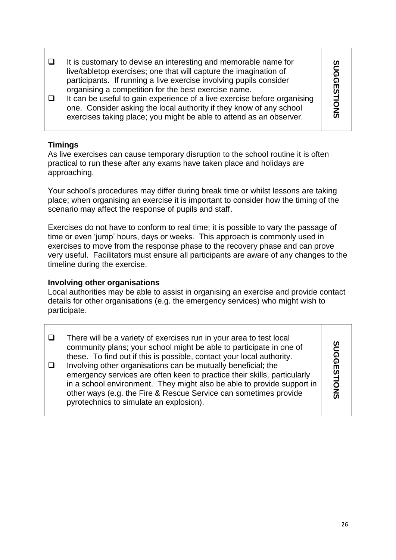$\Box$  It is customary to devise an interesting and memorable name for SUGGESTIONS **SUGGESTIONS** live/tabletop exercises; one that will capture the imagination of participants. If running a live exercise involving pupils consider organising a competition for the best exercise name.  $\Box$  It can be useful to gain experience of a live exercise before organising one. Consider asking the local authority if they know of any school exercises taking place; you might be able to attend as an observer.

### **Timings**

As live exercises can cause temporary disruption to the school routine it is often practical to run these after any exams have taken place and holidays are approaching.

Your school's procedures may differ during break time or whilst lessons are taking place; when organising an exercise it is important to consider how the timing of the scenario may affect the response of pupils and staff.

Exercises do not have to conform to real time; it is possible to vary the passage of time or even 'jump' hours, days or weeks. This approach is commonly used in exercises to move from the response phase to the recovery phase and can prove very useful. Facilitators must ensure all participants are aware of any changes to the timeline during the exercise.

### **Involving other organisations**

Local authorities may be able to assist in organising an exercise and provide contact details for other organisations (e.g. the emergency services) who might wish to participate.

|  | There will be a variety of exercises run in your area to test local<br>community plans; your school might be able to participate in one of<br>these. To find out if this is possible, contact your local authority.<br>Involving other organisations can be mutually beneficial; the<br>emergency services are often keen to practice their skills, particularly<br>in a school environment. They might also be able to provide support in<br>other ways (e.g. the Fire & Rescue Service can sometimes provide<br>pyrotechnics to simulate an explosion). | <u>ဂ</u> ္ဂ<br>ш<br>STIONS |
|--|-----------------------------------------------------------------------------------------------------------------------------------------------------------------------------------------------------------------------------------------------------------------------------------------------------------------------------------------------------------------------------------------------------------------------------------------------------------------------------------------------------------------------------------------------------------|----------------------------|
|--|-----------------------------------------------------------------------------------------------------------------------------------------------------------------------------------------------------------------------------------------------------------------------------------------------------------------------------------------------------------------------------------------------------------------------------------------------------------------------------------------------------------------------------------------------------------|----------------------------|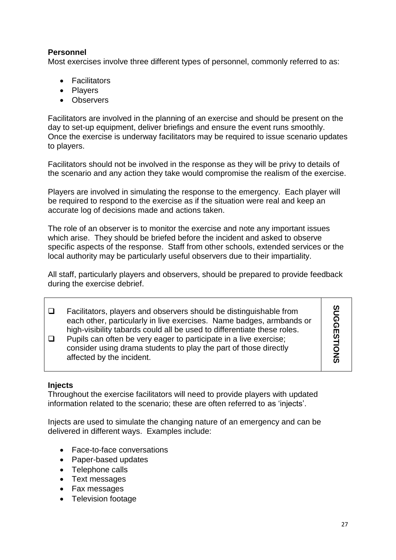### **Personnel**

Most exercises involve three different types of personnel, commonly referred to as:

- Facilitators
- Players
- Observers

Facilitators are involved in the planning of an exercise and should be present on the day to set-up equipment, deliver briefings and ensure the event runs smoothly. Once the exercise is underway facilitators may be required to issue scenario updates to players.

Facilitators should not be involved in the response as they will be privy to details of the scenario and any action they take would compromise the realism of the exercise.

Players are involved in simulating the response to the emergency. Each player will be required to respond to the exercise as if the situation were real and keep an accurate log of decisions made and actions taken.

The role of an observer is to monitor the exercise and note any important issues which arise. They should be briefed before the incident and asked to observe specific aspects of the response. Staff from other schools, extended services or the local authority may be particularly useful observers due to their impartiality.

All staff, particularly players and observers, should be prepared to provide feedback during the exercise debrief.

| Facilitators, players and observers should be distinguishable from<br>each other, particularly in live exercises. Name badges, armbands or<br>high-visibility tabards could all be used to differentiate these roles. | ທ<br>ດ<br>໑<br>Ш |
|-----------------------------------------------------------------------------------------------------------------------------------------------------------------------------------------------------------------------|------------------|
| Pupils can often be very eager to participate in a live exercise;<br>consider using drama students to play the part of those directly<br>affected by the incident.                                                    |                  |

### **Injects**

Throughout the exercise facilitators will need to provide players with updated information related to the scenario; these are often referred to as 'injects'.

Injects are used to simulate the changing nature of an emergency and can be delivered in different ways. Examples include:

- Face-to-face conversations
- Paper-based updates
- Telephone calls
- Text messages
- Fax messages
- Television footage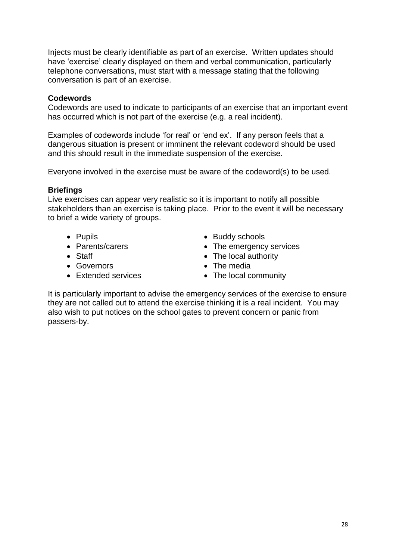Injects must be clearly identifiable as part of an exercise. Written updates should have 'exercise' clearly displayed on them and verbal communication, particularly telephone conversations, must start with a message stating that the following conversation is part of an exercise.

### **Codewords**

Codewords are used to indicate to participants of an exercise that an important event has occurred which is not part of the exercise (e.g. a real incident).

Examples of codewords include 'for real' or 'end ex'. If any person feels that a dangerous situation is present or imminent the relevant codeword should be used and this should result in the immediate suspension of the exercise.

Everyone involved in the exercise must be aware of the codeword(s) to be used.

### **Briefings**

Live exercises can appear very realistic so it is important to notify all possible stakeholders than an exercise is taking place. Prior to the event it will be necessary to brief a wide variety of groups.

- 
- Parents/carers
- Staff
- Governors
- Extended services
- Pupils **Buddy schools** 
	- The emergency services
	- The local authority
	- The media
	- The local community

It is particularly important to advise the emergency services of the exercise to ensure they are not called out to attend the exercise thinking it is a real incident. You may also wish to put notices on the school gates to prevent concern or panic from passers-by.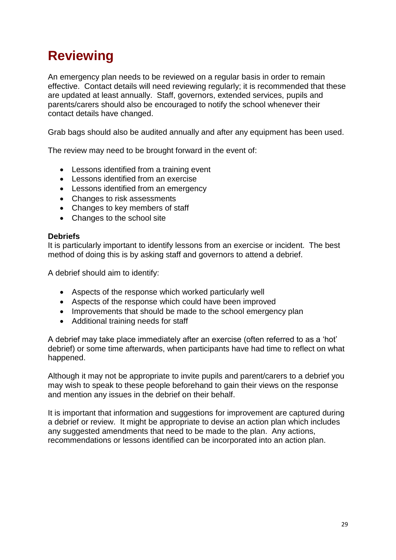# **Reviewing**

An emergency plan needs to be reviewed on a regular basis in order to remain effective. Contact details will need reviewing regularly; it is recommended that these are updated at least annually. Staff, governors, extended services, pupils and parents/carers should also be encouraged to notify the school whenever their contact details have changed.

Grab bags should also be audited annually and after any equipment has been used.

The review may need to be brought forward in the event of:

- Lessons identified from a training event
- Lessons identified from an exercise
- Lessons identified from an emergency
- Changes to risk assessments
- Changes to key members of staff
- Changes to the school site

#### **Debriefs**

It is particularly important to identify lessons from an exercise or incident. The best method of doing this is by asking staff and governors to attend a debrief.

A debrief should aim to identify:

- Aspects of the response which worked particularly well
- Aspects of the response which could have been improved
- Improvements that should be made to the school emergency plan
- Additional training needs for staff

A debrief may take place immediately after an exercise (often referred to as a 'hot' debrief) or some time afterwards, when participants have had time to reflect on what happened.

Although it may not be appropriate to invite pupils and parent/carers to a debrief you may wish to speak to these people beforehand to gain their views on the response and mention any issues in the debrief on their behalf.

It is important that information and suggestions for improvement are captured during a debrief or review. It might be appropriate to devise an action plan which includes any suggested amendments that need to be made to the plan. Any actions, recommendations or lessons identified can be incorporated into an action plan.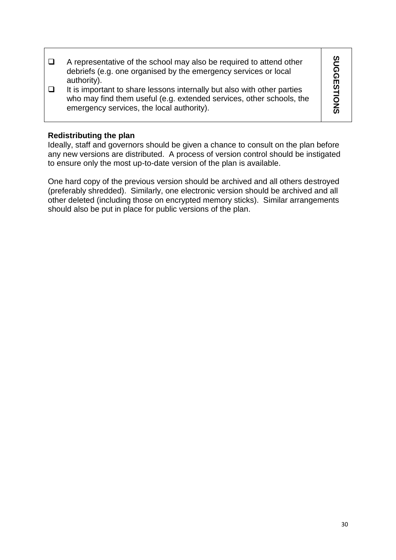| A representative of the school may also be required to attend other<br>debriefs (e.g. one organised by the emergency services or local<br>authority).                                        | ທ<br><u>ດັ</u><br><u>ଜ</u>      |
|----------------------------------------------------------------------------------------------------------------------------------------------------------------------------------------------|---------------------------------|
| It is important to share lessons internally but also with other parties<br>who may find them useful (e.g. extended services, other schools, the<br>emergency services, the local authority). | $\omega$<br>$\overline{Q}$<br>ഗ |

### **Redistributing the plan**

Ideally, staff and governors should be given a chance to consult on the plan before any new versions are distributed. A process of version control should be instigated to ensure only the most up-to-date version of the plan is available.

One hard copy of the previous version should be archived and all others destroyed (preferably shredded). Similarly, one electronic version should be archived and all other deleted (including those on encrypted memory sticks). Similar arrangements should also be put in place for public versions of the plan.